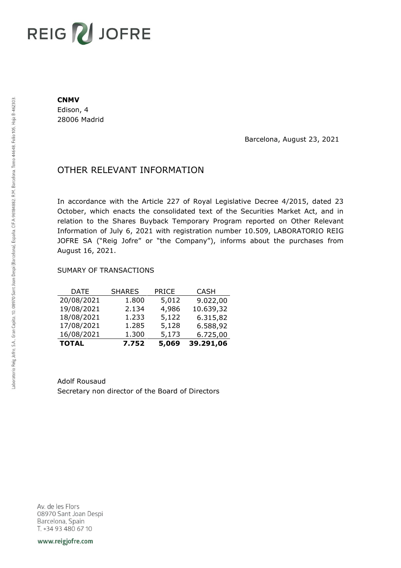# REIG V JOFRE

#### **CNMV**

Edison, 4 28006 Madrid

Barcelona, August 23, 2021

## OTHER RELEVANT INFORMATION

In accordance with the Article 227 of Royal Legislative Decree 4/2015, dated 23 October, which enacts the consolidated text of the Securities Market Act, and in relation to the Shares Buyback Temporary Program reported on Other Relevant Information of July 6, 2021 with registration number 10.509, LABORATORIO REIG JOFRE SA ("Reig Jofre" or "the Company"), informs about the purchases from August 16, 2021.

### SUMARY OF TRANSACTIONS

| <b>TOTAL</b> | 7.752         | 5,069        | 39.291,06   |
|--------------|---------------|--------------|-------------|
| 16/08/2021   | 1.300         | 5,173        | 6.725,00    |
| 17/08/2021   | 1.285         | 5,128        | 6.588,92    |
| 18/08/2021   | 1.233         | 5,122        | 6.315,82    |
| 19/08/2021   | 2.134         | 4,986        | 10.639,32   |
| 20/08/2021   | 1.800         | 5,012        | 9.022,00    |
| DATE         | <b>SHARES</b> | <b>PRICE</b> | <b>CASH</b> |

Adolf Rousaud Secretary non director of the Board of Directors

Av. de les Flors 08970 Sant Joan Despi Barcelona, Spain T. +34 93 480 67 10

www.reigjofre.com